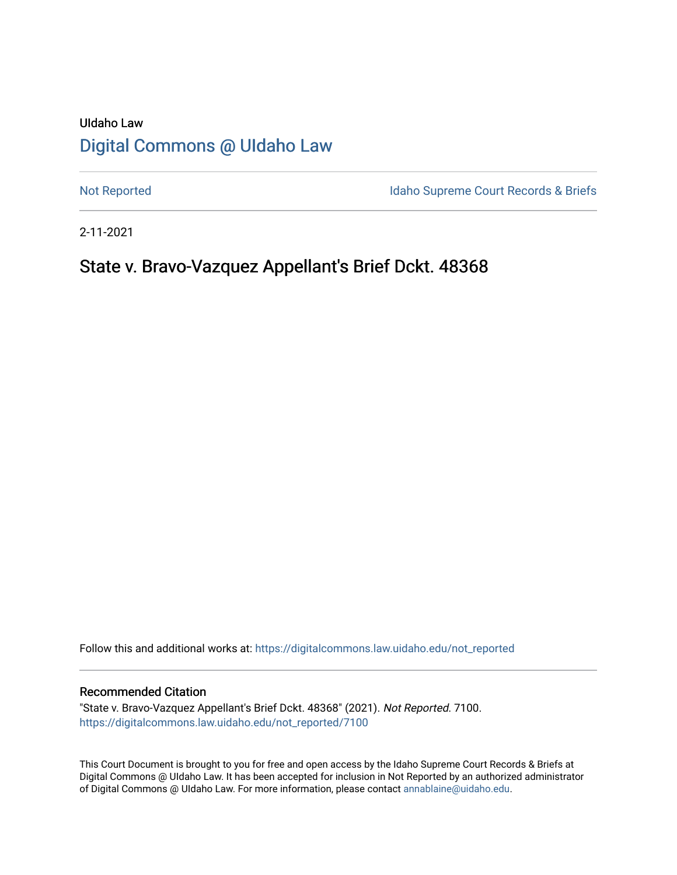# UIdaho Law [Digital Commons @ UIdaho Law](https://digitalcommons.law.uidaho.edu/)

[Not Reported](https://digitalcommons.law.uidaho.edu/not_reported) **Idaho Supreme Court Records & Briefs** 

2-11-2021

# State v. Bravo-Vazquez Appellant's Brief Dckt. 48368

Follow this and additional works at: [https://digitalcommons.law.uidaho.edu/not\\_reported](https://digitalcommons.law.uidaho.edu/not_reported?utm_source=digitalcommons.law.uidaho.edu%2Fnot_reported%2F7100&utm_medium=PDF&utm_campaign=PDFCoverPages) 

#### Recommended Citation

"State v. Bravo-Vazquez Appellant's Brief Dckt. 48368" (2021). Not Reported. 7100. [https://digitalcommons.law.uidaho.edu/not\\_reported/7100](https://digitalcommons.law.uidaho.edu/not_reported/7100?utm_source=digitalcommons.law.uidaho.edu%2Fnot_reported%2F7100&utm_medium=PDF&utm_campaign=PDFCoverPages)

This Court Document is brought to you for free and open access by the Idaho Supreme Court Records & Briefs at Digital Commons @ UIdaho Law. It has been accepted for inclusion in Not Reported by an authorized administrator of Digital Commons @ UIdaho Law. For more information, please contact [annablaine@uidaho.edu](mailto:annablaine@uidaho.edu).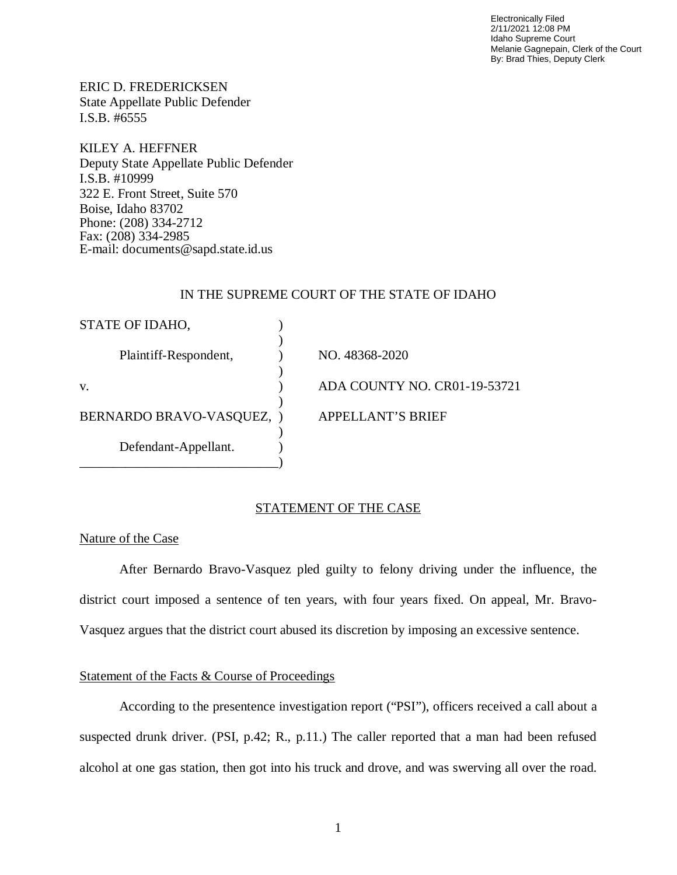Electronically Filed 2/11/2021 12:08 PM Idaho Supreme Court Melanie Gagnepain, Clerk of the Court By: Brad Thies, Deputy Clerk

ERIC D. FREDERICKSEN State Appellate Public Defender I.S.B. #6555

KILEY A. HEFFNER Deputy State Appellate Public Defender I.S.B. #10999 322 E. Front Street, Suite 570 Boise, Idaho 83702 Phone: (208) 334-2712 Fax: (208) 334-2985 E-mail: documents@sapd.state.id.us

#### IN THE SUPREME COURT OF THE STATE OF IDAHO

| STATE OF IDAHO,           |                              |
|---------------------------|------------------------------|
| Plaintiff-Respondent,     | NO. 48368-2020               |
| V.                        | ADA COUNTY NO. CR01-19-53721 |
| BERNARDO BRAVO-VASQUEZ, ) | <b>APPELLANT'S BRIEF</b>     |
|                           |                              |
| Defendant-Appellant.      |                              |

### STATEMENT OF THE CASE

#### Nature of the Case

After Bernardo Bravo-Vasquez pled guilty to felony driving under the influence, the district court imposed a sentence of ten years, with four years fixed. On appeal, Mr. Bravo-Vasquez argues that the district court abused its discretion by imposing an excessive sentence.

### Statement of the Facts & Course of Proceedings

According to the presentence investigation report ("PSI"), officers received a call about a suspected drunk driver. (PSI, p.42; R., p.11.) The caller reported that a man had been refused alcohol at one gas station, then got into his truck and drove, and was swerving all over the road.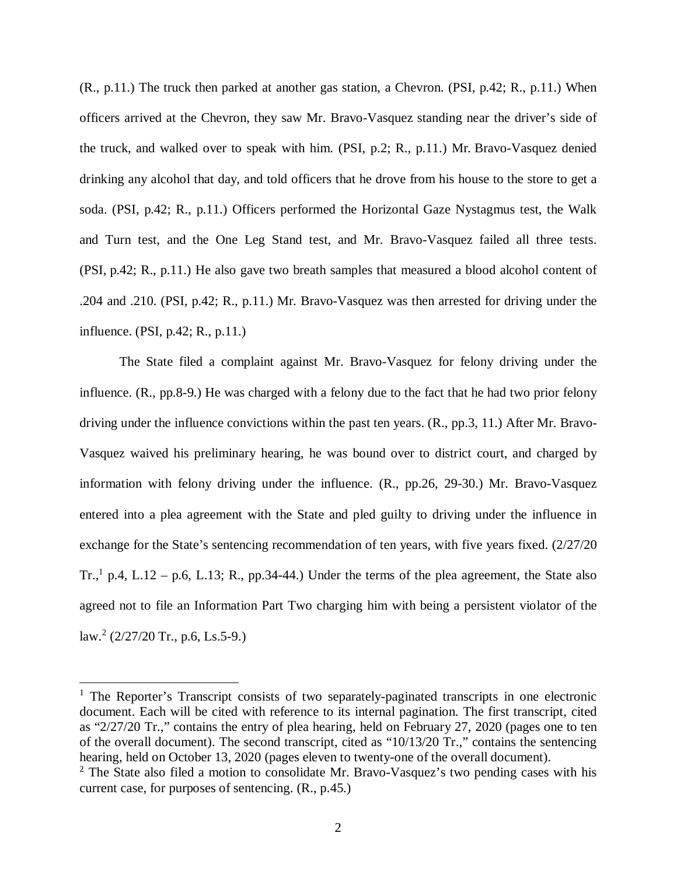(R., p.11.) The truck then parked at another gas station, a Chevron. (PSI, p.42; R., p.11.) When officers arrived at the Chevron, they saw Mr. Bravo-Vasquez standing near the driver's side of the truck, and walked over to speak with him. (PSI, p.2; R., p.11.) Mr. Bravo-Vasquez denied drinking any alcohol that day, and told officers that he drove from his house to the store to get a soda. (PSI, p.42; R., p.11.) Officers performed the Horizontal Gaze Nystagmus test, the Walk and Turn test, and the One Leg Stand test, and Mr. Bravo-Vasquez failed all three tests. (PSI, p.42; R., p.11.) He also gave two breath samples that measured a blood alcohol content of .204 and .210. (PSI, p.42; R., p.11.) Mr. Bravo-Vasquez was then arrested for driving under the influence. (PSI, p.42; R., p.11.)

The State filed a complaint against Mr. Bravo-Vasquez for felony driving under the influence. (R., pp.8-9.) He was charged with a felony due to the fact that he had two prior felony driving under the influence convictions within the past ten years. (R., pp.3, 11.) After Mr. Bravo-Vasquez waived his preliminary hearing, he was bound over to district court, and charged by information with felony driving under the influence. (R., pp.26, 29-30.) Mr. Bravo-Vasquez entered into a plea agreement with the State and pled guilty to driving under the influence in exchange for the State's sentencing recommendation of ten years, with five years fixed. (2/27/20) Tr.,<sup>[1](#page-2-0)</sup> p.4, L.12 – p.6, L.13; R., pp.34-44.) Under the terms of the plea agreement, the State also agreed not to file an Information Part Two charging him with being a persistent violator of the law.<sup>[2](#page-2-1)</sup> (2/27/20 Tr., p.6, Ls.5-9.)

<span id="page-2-0"></span><sup>&</sup>lt;sup>1</sup> The Reporter's Transcript consists of two separately-paginated transcripts in one electronic document. Each will be cited with reference to its internal pagination. The first transcript, cited as "2/27/20 Tr.," contains the entry of plea hearing, held on February 27, 2020 (pages one to ten of the overall document). The second transcript, cited as "10/13/20 Tr.," contains the sentencing hearing, held on October 13, 2020 (pages eleven to twenty-one of the overall document).

<span id="page-2-1"></span> $2$  The State also filed a motion to consolidate Mr. Bravo-Vasquez's two pending cases with his current case, for purposes of sentencing. (R., p.45.)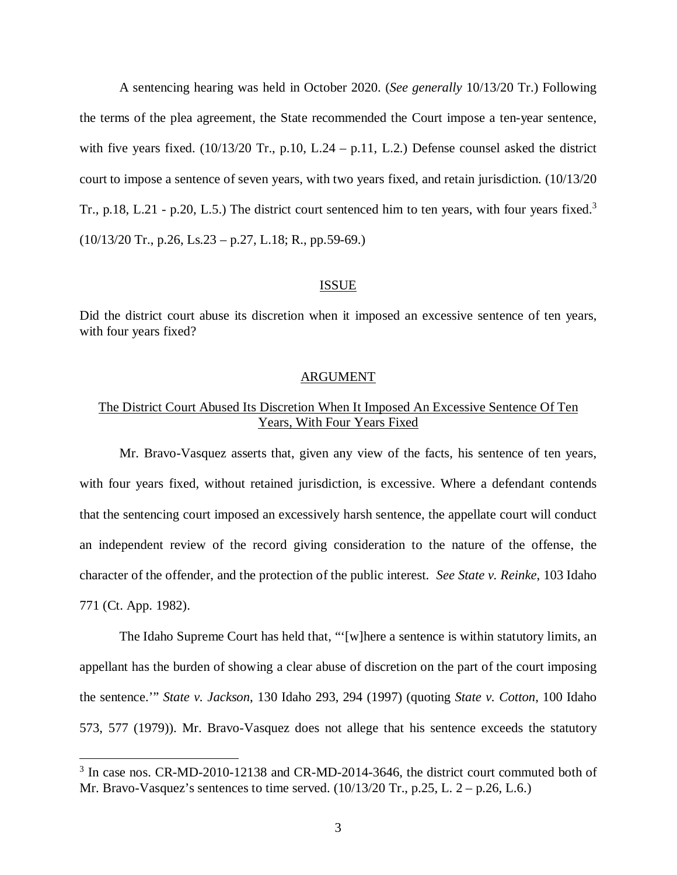A sentencing hearing was held in October 2020. (*See generally* 10/13/20 Tr.) Following the terms of the plea agreement, the State recommended the Court impose a ten-year sentence, with five years fixed.  $(10/13/20 \text{ Tr.}, p.10, L.24 - p.11, L.2)$  Defense counsel asked the district court to impose a sentence of seven years, with two years fixed, and retain jurisdiction. (10/13/20 Tr., p.18, L.21 - p.20, L.5.) The district court sentenced him to ten years, with four years fixed.<sup>[3](#page-3-0)</sup>  $(10/13/20 \text{ Tr}., p.26, Ls.23 - p.27, L.18; R., pp.59-69.)$ 

#### ISSUE

Did the district court abuse its discretion when it imposed an excessive sentence of ten years, with four years fixed?

### ARGUMENT

### The District Court Abused Its Discretion When It Imposed An Excessive Sentence Of Ten Years, With Four Years Fixed

Mr. Bravo-Vasquez asserts that, given any view of the facts, his sentence of ten years, with four years fixed, without retained jurisdiction, is excessive. Where a defendant contends that the sentencing court imposed an excessively harsh sentence, the appellate court will conduct an independent review of the record giving consideration to the nature of the offense, the character of the offender, and the protection of the public interest. *See State v. Reinke*, 103 Idaho 771 (Ct. App. 1982).

The Idaho Supreme Court has held that, "'[w]here a sentence is within statutory limits, an appellant has the burden of showing a clear abuse of discretion on the part of the court imposing the sentence.'" *State v. Jackson*, 130 Idaho 293, 294 (1997) (quoting *State v. Cotton*, 100 Idaho 573, 577 (1979)). Mr. Bravo-Vasquez does not allege that his sentence exceeds the statutory

<span id="page-3-0"></span><sup>&</sup>lt;sup>3</sup> In case nos. CR-MD-2010-12138 and CR-MD-2014-3646, the district court commuted both of Mr. Bravo-Vasquez's sentences to time served. (10/13/20 Tr., p.25, L. 2 – p.26, L.6.)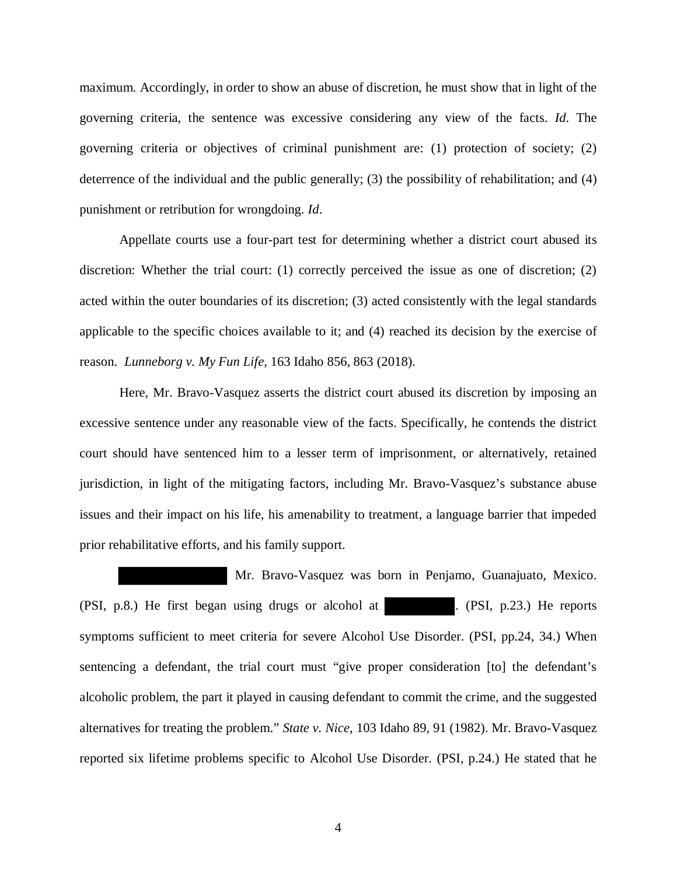maximum. Accordingly, in order to show an abuse of discretion, he must show that in light of the governing criteria, the sentence was excessive considering any view of the facts. *Id*. The governing criteria or objectives of criminal punishment are: (1) protection of society; (2) deterrence of the individual and the public generally; (3) the possibility of rehabilitation; and (4) punishment or retribution for wrongdoing. *Id*.

Appellate courts use a four-part test for determining whether a district court abused its discretion: Whether the trial court: (1) correctly perceived the issue as one of discretion; (2) acted within the outer boundaries of its discretion; (3) acted consistently with the legal standards applicable to the specific choices available to it; and (4) reached its decision by the exercise of reason. *Lunneborg v. My Fun Life*, 163 Idaho 856, 863 (2018).

Here, Mr. Bravo-Vasquez asserts the district court abused its discretion by imposing an excessive sentence under any reasonable view of the facts. Specifically, he contends the district court should have sentenced him to a lesser term of imprisonment, or alternatively, retained jurisdiction, in light of the mitigating factors, including Mr. Bravo-Vasquez's substance abuse issues and their impact on his life, his amenability to treatment, a language barrier that impeded prior rehabilitative efforts, and his family support.

 Mr. Bravo-Vasquez was born in Penjamo, Guanajuato, Mexico. (PSI, p.8.) He first began using drugs or alcohol at . (PSI, p.23.) He reports symptoms sufficient to meet criteria for severe Alcohol Use Disorder. (PSI, pp.24, 34.) When sentencing a defendant, the trial court must "give proper consideration [to] the defendant's alcoholic problem, the part it played in causing defendant to commit the crime, and the suggested alternatives for treating the problem." *State v. Nice*, 103 Idaho 89, 91 (1982). Mr. Bravo-Vasquez reported six lifetime problems specific to Alcohol Use Disorder. (PSI, p.24.) He stated that he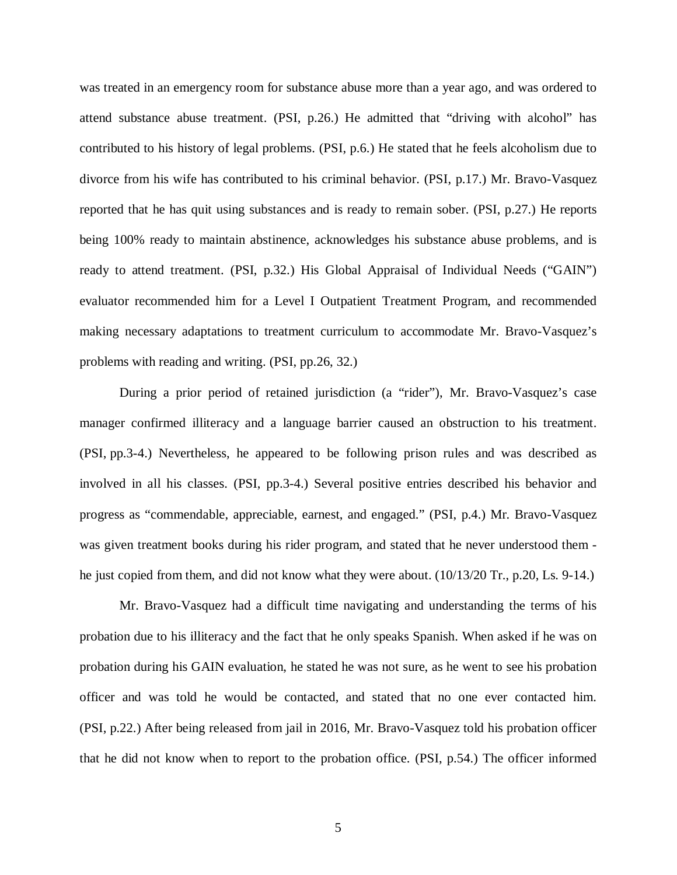was treated in an emergency room for substance abuse more than a year ago, and was ordered to attend substance abuse treatment. (PSI, p.26.) He admitted that "driving with alcohol" has contributed to his history of legal problems. (PSI, p.6.) He stated that he feels alcoholism due to divorce from his wife has contributed to his criminal behavior. (PSI, p.17.) Mr. Bravo-Vasquez reported that he has quit using substances and is ready to remain sober. (PSI, p.27.) He reports being 100% ready to maintain abstinence, acknowledges his substance abuse problems, and is ready to attend treatment. (PSI, p.32.) His Global Appraisal of Individual Needs ("GAIN") evaluator recommended him for a Level I Outpatient Treatment Program, and recommended making necessary adaptations to treatment curriculum to accommodate Mr. Bravo-Vasquez's problems with reading and writing. (PSI, pp.26, 32.)

During a prior period of retained jurisdiction (a "rider"), Mr. Bravo-Vasquez's case manager confirmed illiteracy and a language barrier caused an obstruction to his treatment. (PSI, pp.3-4.) Nevertheless, he appeared to be following prison rules and was described as involved in all his classes. (PSI, pp.3-4.) Several positive entries described his behavior and progress as "commendable, appreciable, earnest, and engaged." (PSI, p.4.) Mr. Bravo-Vasquez was given treatment books during his rider program, and stated that he never understood them he just copied from them, and did not know what they were about. (10/13/20 Tr., p.20, Ls. 9-14.)

Mr. Bravo-Vasquez had a difficult time navigating and understanding the terms of his probation due to his illiteracy and the fact that he only speaks Spanish. When asked if he was on probation during his GAIN evaluation, he stated he was not sure, as he went to see his probation officer and was told he would be contacted, and stated that no one ever contacted him. (PSI, p.22.) After being released from jail in 2016, Mr. Bravo-Vasquez told his probation officer that he did not know when to report to the probation office. (PSI, p.54.) The officer informed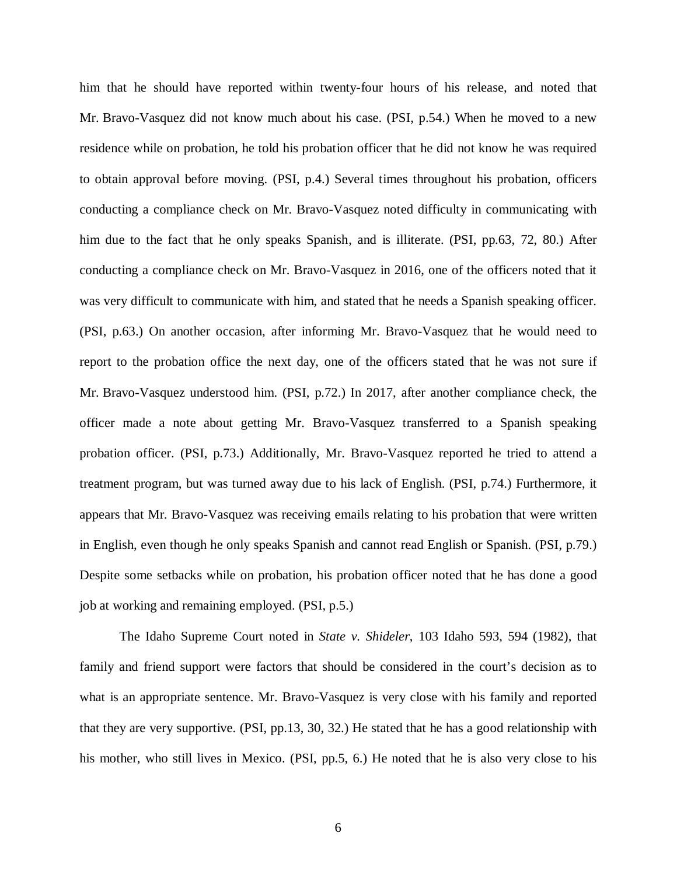him that he should have reported within twenty-four hours of his release, and noted that Mr. Bravo-Vasquez did not know much about his case. (PSI, p.54.) When he moved to a new residence while on probation, he told his probation officer that he did not know he was required to obtain approval before moving. (PSI, p.4.) Several times throughout his probation, officers conducting a compliance check on Mr. Bravo-Vasquez noted difficulty in communicating with him due to the fact that he only speaks Spanish, and is illiterate. (PSI, pp.63, 72, 80.) After conducting a compliance check on Mr. Bravo-Vasquez in 2016, one of the officers noted that it was very difficult to communicate with him, and stated that he needs a Spanish speaking officer. (PSI, p.63.) On another occasion, after informing Mr. Bravo-Vasquez that he would need to report to the probation office the next day, one of the officers stated that he was not sure if Mr. Bravo-Vasquez understood him. (PSI, p.72.) In 2017, after another compliance check, the officer made a note about getting Mr. Bravo-Vasquez transferred to a Spanish speaking probation officer. (PSI, p.73.) Additionally, Mr. Bravo-Vasquez reported he tried to attend a treatment program, but was turned away due to his lack of English. (PSI, p.74.) Furthermore, it appears that Mr. Bravo-Vasquez was receiving emails relating to his probation that were written in English, even though he only speaks Spanish and cannot read English or Spanish. (PSI, p.79.) Despite some setbacks while on probation, his probation officer noted that he has done a good job at working and remaining employed. (PSI, p.5.)

The Idaho Supreme Court noted in *State v. Shideler*, 103 Idaho 593, 594 (1982), that family and friend support were factors that should be considered in the court's decision as to what is an appropriate sentence. Mr. Bravo-Vasquez is very close with his family and reported that they are very supportive. (PSI, pp.13, 30, 32.) He stated that he has a good relationship with his mother, who still lives in Mexico. (PSI, pp.5, 6.) He noted that he is also very close to his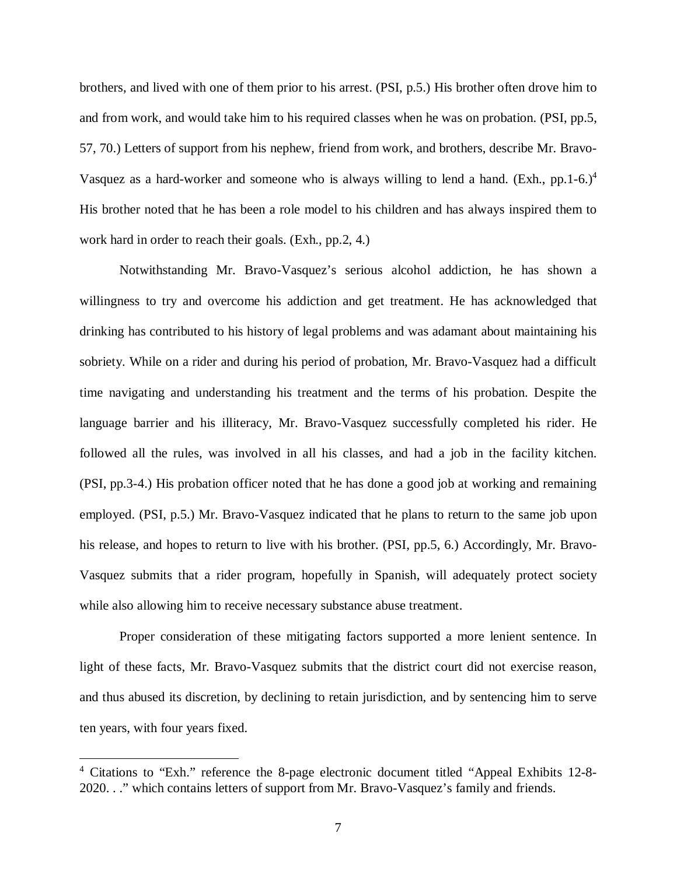brothers, and lived with one of them prior to his arrest. (PSI, p.5.) His brother often drove him to and from work, and would take him to his required classes when he was on probation. (PSI, pp.5, 57, 70.) Letters of support from his nephew, friend from work, and brothers, describe Mr. Bravo-Vasquez as a hard-worker and someone who is always willing to lend a hand. (Exh., pp.1-6.)<sup>[4](#page-7-0)</sup> His brother noted that he has been a role model to his children and has always inspired them to work hard in order to reach their goals. (Exh., pp.2, 4.)

Notwithstanding Mr. Bravo-Vasquez's serious alcohol addiction, he has shown a willingness to try and overcome his addiction and get treatment. He has acknowledged that drinking has contributed to his history of legal problems and was adamant about maintaining his sobriety. While on a rider and during his period of probation, Mr. Bravo-Vasquez had a difficult time navigating and understanding his treatment and the terms of his probation. Despite the language barrier and his illiteracy, Mr. Bravo-Vasquez successfully completed his rider. He followed all the rules, was involved in all his classes, and had a job in the facility kitchen. (PSI, pp.3-4.) His probation officer noted that he has done a good job at working and remaining employed. (PSI, p.5.) Mr. Bravo-Vasquez indicated that he plans to return to the same job upon his release, and hopes to return to live with his brother. (PSI, pp.5, 6.) Accordingly, Mr. Bravo-Vasquez submits that a rider program, hopefully in Spanish, will adequately protect society while also allowing him to receive necessary substance abuse treatment.

Proper consideration of these mitigating factors supported a more lenient sentence. In light of these facts, Mr. Bravo-Vasquez submits that the district court did not exercise reason, and thus abused its discretion, by declining to retain jurisdiction, and by sentencing him to serve ten years, with four years fixed.

<span id="page-7-0"></span><sup>&</sup>lt;sup>4</sup> Citations to "Exh." reference the 8-page electronic document titled "Appeal Exhibits 12-8-2020. . ." which contains letters of support from Mr. Bravo-Vasquez's family and friends.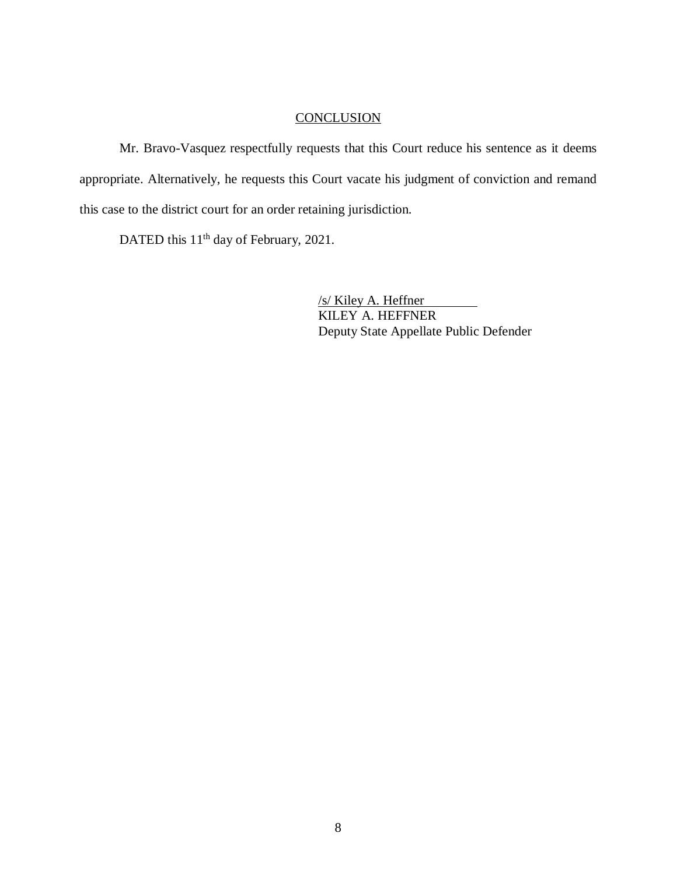## **CONCLUSION**

Mr. Bravo-Vasquez respectfully requests that this Court reduce his sentence as it deems appropriate. Alternatively, he requests this Court vacate his judgment of conviction and remand this case to the district court for an order retaining jurisdiction.

DATED this 11<sup>th</sup> day of February, 2021.

/s/ Kiley A. Heffner KILEY A. HEFFNER Deputy State Appellate Public Defender